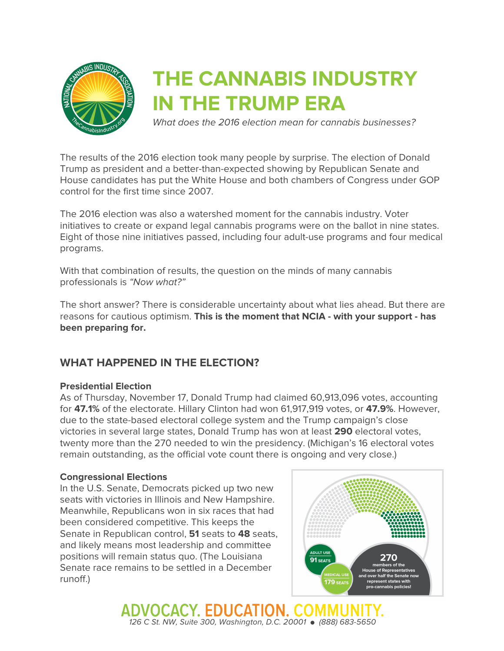

# **THE CANNABIS INDUSTRY IN THE TRUMP ERA**

*What does the 2016 election mean for cannabis businesses?*

The results of the 2016 election took many people by surprise. The election of Donald Trump as president and a better-than-expected showing by Republican Senate and House candidates has put the White House and both chambers of Congress under GOP control for the first time since 2007.

The 2016 election was also a watershed moment for the cannabis industry. Voter initiatives to create or expand legal cannabis programs were on the ballot in nine states. Eight of those nine initiatives passed, including four adult-use programs and four medical programs.

With that combination of results, the question on the minds of many cannabis professionals is *"Now what?"*

The short answer? There is considerable uncertainty about what lies ahead. But there are reasons for cautious optimism. **This is the moment that NCIA - with your support - has been preparing for.**

# **WHAT HAPPENED IN THE ELECTION?**

## **Presidential Election**

As of Thursday, November 17, Donald Trump had claimed 60,913,096 votes, accounting for **47.1%** of the electorate. Hillary Clinton had won 61,917,919 votes, or **47.9%**. However, due to the state-based electoral college system and the Trump campaign's close victories in several large states, Donald Trump has won at least **290** electoral votes, twenty more than the 270 needed to win the presidency. (Michigan's 16 electoral votes remain outstanding, as the official vote count there is ongoing and very close.)

#### **Congressional Elections**

In the U.S. Senate, Democrats picked up two new seats with victories in Illinois and New Hampshire. Meanwhile, Republicans won in six races that had been considered competitive. This keeps the Senate in Republican control, **51** seats to **48** seats, and likely means most leadership and committee positions will remain status quo. (The Louisiana Senate race remains to be settled in a December runoff.)



ADVOCACY, EDUCATION, COMM *126 C St. NW, Suite 300, Washington, D.C. 20001* ● *(888) 683-5650*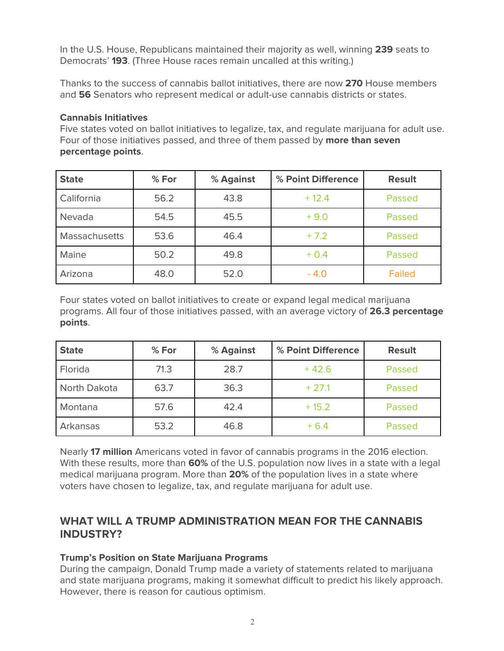In the U.S. House, Republicans maintained their majority as well, winning **239** seats to Democrats' **193**. (Three House races remain uncalled at this writing.)

Thanks to the success of cannabis ballot initiatives, there are now **270** House members and **56** Senators who represent medical or adult-use cannabis districts or states.

# **Cannabis Initiatives**

Five states voted on ballot initiatives to legalize, tax, and regulate marijuana for adult use. Four of those initiatives passed, and three of them passed by **more than seven percentage points**.

| <b>State</b>  | % For | % Against | % Point Difference | <b>Result</b> |
|---------------|-------|-----------|--------------------|---------------|
| California    | 56.2  | 43.8      | $+12.4$            | Passed        |
| Nevada        | 54.5  | 45.5      | $+9.0$             | Passed        |
| Massachusetts | 53.6  | 46.4      | $+7.2$             | Passed        |
| Maine         | 50.2  | 49.8      | $+0.4$             | Passed        |
| Arizona       | 48.0  | 52.0      | $-4.0$             | <b>Failed</b> |

Four states voted on ballot initiatives to create or expand legal medical marijuana programs. All four of those initiatives passed, with an average victory of **26.3 percentage points**.

| <b>State</b> | % For | % Against | % Point Difference | <b>Result</b> |
|--------------|-------|-----------|--------------------|---------------|
| Florida      | 71.3  | 28.7      | $+42.6$            | Passed        |
| North Dakota | 63.7  | 36.3      | $+27.1$            | Passed        |
| Montana      | 57.6  | 42.4      | $+15.2$            | Passed        |
| Arkansas     | 53.2  | 46.8      | $+6.4$             | Passed        |

Nearly **17 million** Americans voted in favor of cannabis programs in the 2016 election. With these results, more than **60%** of the U.S. population now lives in a state with a legal medical marijuana program. More than **20%** of the population lives in a state where voters have chosen to legalize, tax, and regulate marijuana for adult use.

# **WHAT WILL A TRUMP ADMINISTRATION MEAN FOR THE CANNABIS INDUSTRY?**

## **Trump's Position on State Marijuana Programs**

During the campaign, Donald Trump made a variety of statements related to marijuana and state marijuana programs, making it somewhat difficult to predict his likely approach. However, there is reason for cautious optimism.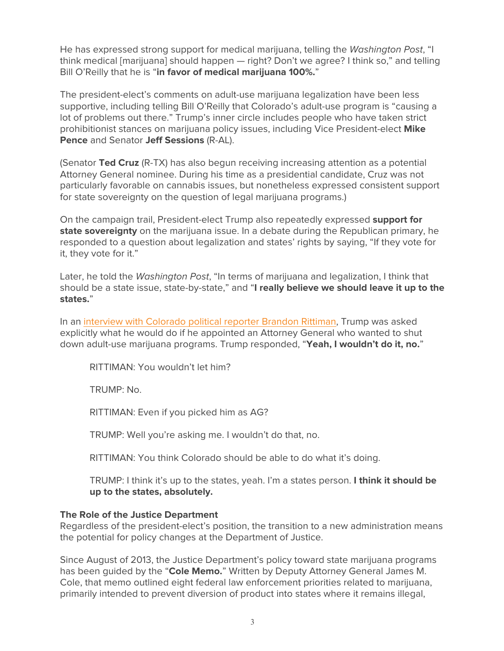He has expressed strong support for medical marijuana, telling the *Washington Post*, "I think medical [marijuana] should happen — right? Don't we agree? I think so," and telling Bill O'Reilly that he is "**in favor of medical marijuana 100%.**"

The president-elect's comments on adult-use marijuana legalization have been less supportive, including telling Bill O'Reilly that Colorado's adult-use program is "causing a lot of problems out there." Trump's inner circle includes people who have taken strict prohibitionist stances on marijuana policy issues, including Vice President-elect **Mike Pence** and Senator **Jeff Sessions** (R-AL).

(Senator **Ted Cruz** (R-TX) has also begun receiving increasing attention as a potential Attorney General nominee. During his time as a presidential candidate, Cruz was not particularly favorable on cannabis issues, but nonetheless expressed consistent support for state sovereignty on the question of legal marijuana programs.)

On the campaign trail, President-elect Trump also repeatedly expressed **support for state sovereignty** on the marijuana issue. In a debate during the Republican primary, he responded to a question about legalization and states' rights by saying, "If they vote for it, they vote for it."

Later, he told the *Washington Post*, "In terms of marijuana and legalization, I think that should be a state issue, state-by-state," and "**I really believe we should leave it up to the states.**"

In an interview with Colorado political reporter Brandon Rittiman, Trump was asked explicitly what he would do if he appointed an Attorney General who wanted to shut down adult-use marijuana programs. Trump responded, "**Yeah, I wouldn't do it, no.**"

RITTIMAN: You wouldn't let him?

TRUMP: No.

RITTIMAN: Even if you picked him as AG?

TRUMP: Well you're asking me. I wouldn't do that, no.

RITTIMAN: You think Colorado should be able to do what it's doing.

TRUMP: I think it's up to the states, yeah. I'm a states person. **I think it should be up to the states, absolutely.**

#### **The Role of the Justice Department**

Regardless of the president-elect's position, the transition to a new administration means the potential for policy changes at the Department of Justice.

Since August of 2013, the Justice Department's policy toward state marijuana programs has been guided by the "**Cole Memo.**" Written by Deputy Attorney General James M. Cole, that memo outlined eight federal law enforcement priorities related to marijuana, primarily intended to prevent diversion of product into states where it remains illegal,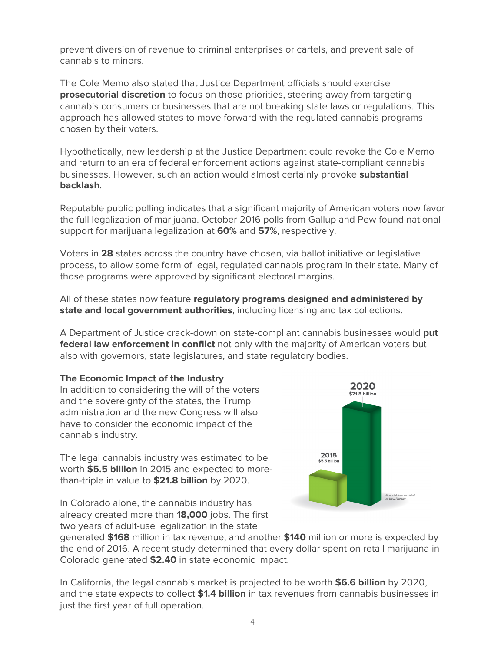prevent diversion of revenue to criminal enterprises or cartels, and prevent sale of cannabis to minors.

The Cole Memo also stated that Justice Department officials should exercise **prosecutorial discretion** to focus on those priorities, steering away from targeting cannabis consumers or businesses that are not breaking state laws or regulations. This approach has allowed states to move forward with the regulated cannabis programs chosen by their voters.

Hypothetically, new leadership at the Justice Department could revoke the Cole Memo and return to an era of federal enforcement actions against state-compliant cannabis businesses. However, such an action would almost certainly provoke **substantial backlash**.

Reputable public polling indicates that a significant majority of American voters now favor the full legalization of marijuana. October 2016 polls from Gallup and Pew found national support for marijuana legalization at **60%** and **57%**, respectively.

Voters in **28** states across the country have chosen, via ballot initiative or legislative process, to allow some form of legal, regulated cannabis program in their state. Many of those programs were approved by significant electoral margins.

All of these states now feature **regulatory programs designed and administered by state and local government authorities**, including licensing and tax collections.

A Department of Justice crack-down on state-compliant cannabis businesses would **put federal law enforcement in conflict** not only with the majority of American voters but also with governors, state legislatures, and state regulatory bodies.

## **The Economic Impact of the Industry**

In addition to considering the will of the voters and the sovereignty of the states, the Trump administration and the new Congress will also have to consider the economic impact of the cannabis industry.

The legal cannabis industry was estimated to be worth **\$5.5 billion** in 2015 and expected to morethan-triple in value to **\$21.8 billion** by 2020.

2020 \$21.8 billion 2015 \$5.5 billion Financial date<br>In: New Front

In Colorado alone, the cannabis industry has already created more than **18,000** jobs. The first two years of adult-use legalization in the state

generated **\$168** million in tax revenue, and another **\$140** million or more is expected by the end of 2016. A recent study determined that every dollar spent on retail marijuana in Colorado generated **\$2.40** in state economic impact.

In California, the legal cannabis market is projected to be worth **\$6.6 billion** by 2020, and the state expects to collect **\$1.4 billion** in tax revenues from cannabis businesses in just the first year of full operation.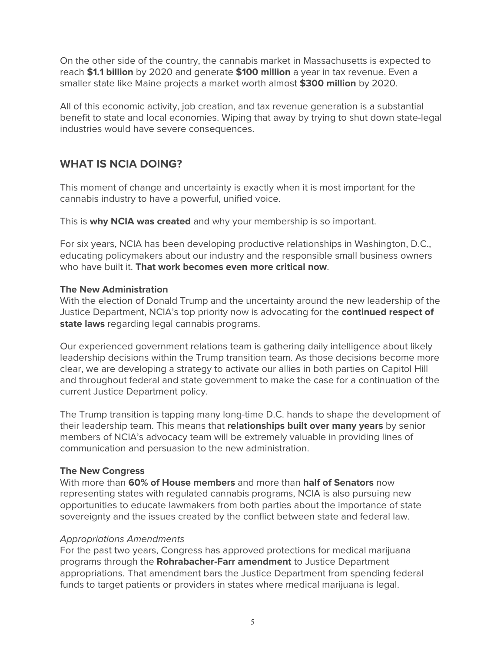On the other side of the country, the cannabis market in Massachusetts is expected to reach **\$1.1 billion** by 2020 and generate **\$100 million** a year in tax revenue. Even a smaller state like Maine projects a market worth almost **\$300 million** by 2020.

All of this economic activity, job creation, and tax revenue generation is a substantial benefit to state and local economies. Wiping that away by trying to shut down state-legal industries would have severe consequences.

# **WHAT IS NCIA DOING?**

This moment of change and uncertainty is exactly when it is most important for the cannabis industry to have a powerful, unified voice.

This is **why NCIA was created** and why your membership is so important.

For six years, NCIA has been developing productive relationships in Washington, D.C., educating policymakers about our industry and the responsible small business owners who have built it. **That work becomes even more critical now**.

## **The New Administration**

With the election of Donald Trump and the uncertainty around the new leadership of the Justice Department, NCIA's top priority now is advocating for the **continued respect of state laws** regarding legal cannabis programs.

Our experienced government relations team is gathering daily intelligence about likely leadership decisions within the Trump transition team. As those decisions become more clear, we are developing a strategy to activate our allies in both parties on Capitol Hill and throughout federal and state government to make the case for a continuation of the current Justice Department policy.

The Trump transition is tapping many long-time D.C. hands to shape the development of their leadership team. This means that **relationships built over many years** by senior members of NCIA's advocacy team will be extremely valuable in providing lines of communication and persuasion to the new administration.

## **The New Congress**

With more than **60% of House members** and more than **half of Senators** now representing states with regulated cannabis programs, NCIA is also pursuing new opportunities to educate lawmakers from both parties about the importance of state sovereignty and the issues created by the conflict between state and federal law.

#### *Appropriations Amendments*

For the past two years, Congress has approved protections for medical marijuana programs through the **Rohrabacher-Farr amendment** to Justice Department appropriations. That amendment bars the Justice Department from spending federal funds to target patients or providers in states where medical marijuana is legal.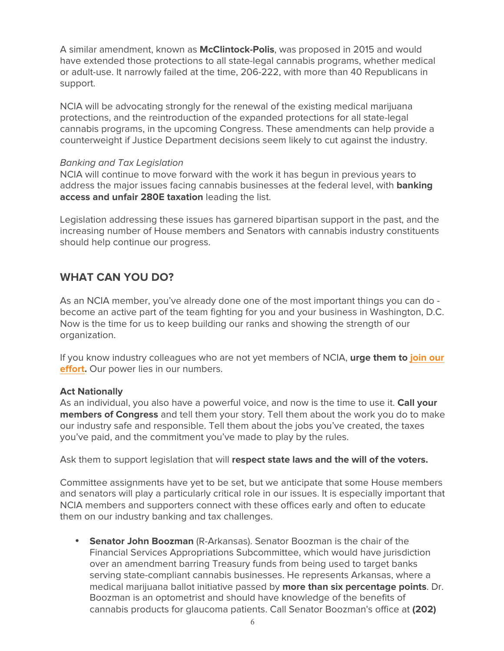A similar amendment, known as **McClintock-Polis**, was proposed in 2015 and would have extended those protections to all state-legal cannabis programs, whether medical or adult-use. It narrowly failed at the time, 206-222, with more than 40 Republicans in support.

NCIA will be advocating strongly for the renewal of the existing medical marijuana protections, and the reintroduction of the expanded protections for all state-legal cannabis programs, in the upcoming Congress. These amendments can help provide a counterweight if Justice Department decisions seem likely to cut against the industry.

#### *Banking and Tax Legislation*

NCIA will continue to move forward with the work it has begun in previous years to address the major issues facing cannabis businesses at the federal level, with **banking access and unfair 280E taxation** leading the list.

Legislation addressing these issues has garnered bipartisan support in the past, and the increasing number of House members and Senators with cannabis industry constituents should help continue our progress.

# **WHAT CAN YOU DO?**

As an NCIA member, you've already done one of the most important things you can do become an active part of the team fighting for you and your business in Washington, D.C. Now is the time for us to keep building our ranks and showing the strength of our organization.

If you know industry colleagues who are not yet members of NCIA, **urge them to join our effort.** Our power lies in our numbers.

## **Act Nationally**

As an individual, you also have a powerful voice, and now is the time to use it. **Call your members of Congress** and tell them your story. Tell them about the work you do to make our industry safe and responsible. Tell them about the jobs you've created, the taxes you've paid, and the commitment you've made to play by the rules.

Ask them to support legislation that will **respect state laws and the will of the voters.**

Committee assignments have yet to be set, but we anticipate that some House members and senators will play a particularly critical role in our issues. It is especially important that NCIA members and supporters connect with these offices early and often to educate them on our industry banking and tax challenges.

• **Senator John Boozman** (R-Arkansas). Senator Boozman is the chair of the Financial Services Appropriations Subcommittee, which would have jurisdiction over an amendment barring Treasury funds from being used to target banks serving state-compliant cannabis businesses. He represents Arkansas, where a medical marijuana ballot initiative passed by **more than six percentage points**. Dr. Boozman is an optometrist and should have knowledge of the benefits of cannabis products for glaucoma patients. Call Senator Boozman's office at **(202)**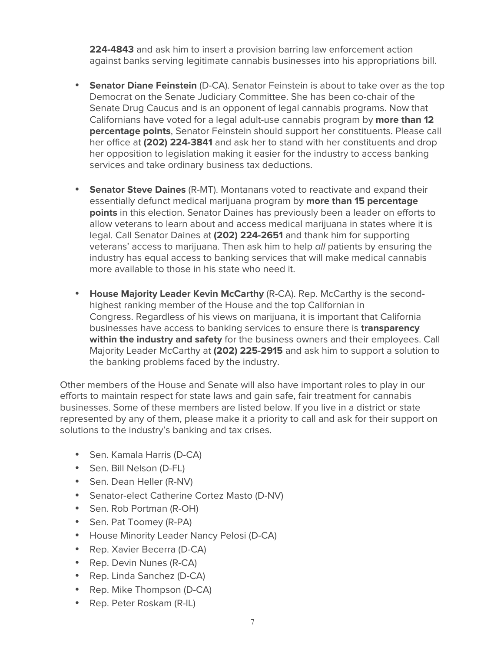**224-4843** and ask him to insert a provision barring law enforcement action against banks serving legitimate cannabis businesses into his appropriations bill.

- **Senator Diane Feinstein** (D-CA). Senator Feinstein is about to take over as the top Democrat on the Senate Judiciary Committee. She has been co-chair of the Senate Drug Caucus and is an opponent of legal cannabis programs. Now that Californians have voted for a legal adult-use cannabis program by **more than 12 percentage points**, Senator Feinstein should support her constituents. Please call her office at **(202) 224-3841** and ask her to stand with her constituents and drop her opposition to legislation making it easier for the industry to access banking services and take ordinary business tax deductions.
- **Senator Steve Daines** (R-MT). Montanans voted to reactivate and expand their essentially defunct medical marijuana program by **more than 15 percentage points** in this election. Senator Daines has previously been a leader on efforts to allow veterans to learn about and access medical marijuana in states where it is legal. Call Senator Daines at **(202) 224-2651** and thank him for supporting veterans' access to marijuana. Then ask him to help *all* patients by ensuring the industry has equal access to banking services that will make medical cannabis more available to those in his state who need it.
- **House Majority Leader Kevin McCarthy** (R-CA). Rep. McCarthy is the secondhighest ranking member of the House and the top Californian in Congress. Regardless of his views on marijuana, it is important that California businesses have access to banking services to ensure there is **transparency within the industry and safety** for the business owners and their employees. Call Majority Leader McCarthy at **(202) 225-2915** and ask him to support a solution to the banking problems faced by the industry.

Other members of the House and Senate will also have important roles to play in our efforts to maintain respect for state laws and gain safe, fair treatment for cannabis businesses. Some of these members are listed below. If you live in a district or state represented by any of them, please make it a priority to call and ask for their support on solutions to the industry's banking and tax crises.

- Sen. Kamala Harris (D-CA)
- Sen. Bill Nelson (D-FL)
- Sen. Dean Heller (R-NV)
- Senator-elect Catherine Cortez Masto (D-NV)
- Sen. Rob Portman (R-OH)
- Sen. Pat Toomey (R-PA)
- House Minority Leader Nancy Pelosi (D-CA)
- Rep. Xavier Becerra (D-CA)
- Rep. Devin Nunes (R-CA)
- Rep. Linda Sanchez (D-CA)
- Rep. Mike Thompson (D-CA)
- Rep. Peter Roskam (R-IL)